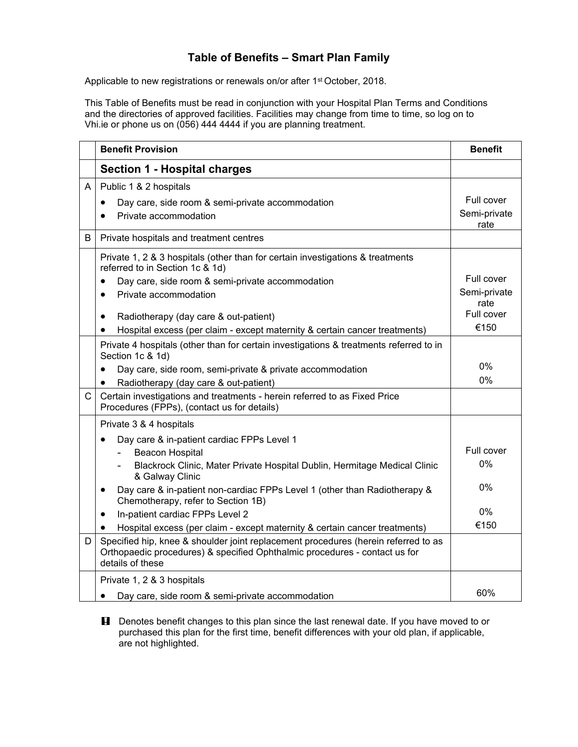## **Table of Benefits – Smart Plan Family**

Applicable to new registrations or renewals on/or after 1<sup>st</sup> October, 2018.

This Table of Benefits must be read in conjunction with your Hospital Plan Terms and Conditions and the directories of approved facilities. Facilities may change from time to time, so log on to Vhi.ie or phone us on (056) 444 4444 if you are planning treatment.

|   | <b>Benefit Provision</b>                                                                                                                                                                                                                                                | <b>Benefit</b>                     |
|---|-------------------------------------------------------------------------------------------------------------------------------------------------------------------------------------------------------------------------------------------------------------------------|------------------------------------|
|   | <b>Section 1 - Hospital charges</b>                                                                                                                                                                                                                                     |                                    |
| A | Public 1 & 2 hospitals<br>Day care, side room & semi-private accommodation<br>$\bullet$<br>Private accommodation                                                                                                                                                        | Full cover<br>Semi-private<br>rate |
| B | Private hospitals and treatment centres                                                                                                                                                                                                                                 |                                    |
|   | Private 1, 2 & 3 hospitals (other than for certain investigations & treatments<br>referred to in Section 1c & 1d)<br>Day care, side room & semi-private accommodation<br>$\bullet$<br>Private accommodation<br>$\bullet$                                                | Full cover<br>Semi-private<br>rate |
|   | Radiotherapy (day care & out-patient)<br>$\bullet$                                                                                                                                                                                                                      | Full cover<br>€150                 |
|   | Hospital excess (per claim - except maternity & certain cancer treatments)<br>٠<br>Private 4 hospitals (other than for certain investigations & treatments referred to in<br>Section 1c & 1d)<br>Day care, side room, semi-private & private accommodation<br>$\bullet$ | 0%                                 |
|   | Radiotherapy (day care & out-patient)<br>$\bullet$                                                                                                                                                                                                                      | $0\%$                              |
| C | Certain investigations and treatments - herein referred to as Fixed Price<br>Procedures (FPPs), (contact us for details)                                                                                                                                                |                                    |
|   | Private 3 & 4 hospitals<br>Day care & in-patient cardiac FPPs Level 1<br>$\bullet$                                                                                                                                                                                      |                                    |
|   | <b>Beacon Hospital</b><br>Blackrock Clinic, Mater Private Hospital Dublin, Hermitage Medical Clinic<br>& Galway Clinic                                                                                                                                                  | Full cover<br>$0\%$                |
|   | Day care & in-patient non-cardiac FPPs Level 1 (other than Radiotherapy &<br>$\bullet$<br>Chemotherapy, refer to Section 1B)                                                                                                                                            | $0\%$                              |
|   | In-patient cardiac FPPs Level 2<br>$\bullet$                                                                                                                                                                                                                            | $0\%$                              |
|   | Hospital excess (per claim - except maternity & certain cancer treatments)<br>$\bullet$                                                                                                                                                                                 | €150                               |
| D | Specified hip, knee & shoulder joint replacement procedures (herein referred to as<br>Orthopaedic procedures) & specified Ophthalmic procedures - contact us for<br>details of these                                                                                    |                                    |
|   | Private 1, 2 & 3 hospitals                                                                                                                                                                                                                                              |                                    |
|   | Day care, side room & semi-private accommodation<br>$\bullet$                                                                                                                                                                                                           | 60%                                |

**H** Denotes benefit changes to this plan since the last renewal date. If you have moved to or purchased this plan for the first time, benefit differences with your old plan, if applicable, are not highlighted.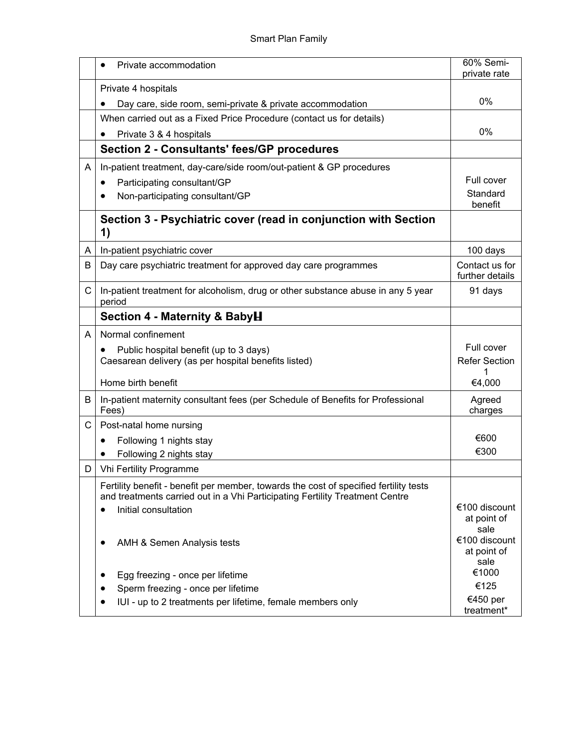|              | Private accommodation                                                                                                                                                 | 60% Semi-<br>private rate         |
|--------------|-----------------------------------------------------------------------------------------------------------------------------------------------------------------------|-----------------------------------|
|              | Private 4 hospitals                                                                                                                                                   |                                   |
|              | Day care, side room, semi-private & private accommodation                                                                                                             | 0%                                |
|              | When carried out as a Fixed Price Procedure (contact us for details)                                                                                                  |                                   |
|              | Private 3 & 4 hospitals                                                                                                                                               | $0\%$                             |
|              | <b>Section 2 - Consultants' fees/GP procedures</b>                                                                                                                    |                                   |
| A            | In-patient treatment, day-care/side room/out-patient & GP procedures                                                                                                  |                                   |
|              | Participating consultant/GP<br>٠                                                                                                                                      | Full cover                        |
|              | Non-participating consultant/GP                                                                                                                                       | Standard<br>benefit               |
|              | Section 3 - Psychiatric cover (read in conjunction with Section<br>1)                                                                                                 |                                   |
| A            | In-patient psychiatric cover                                                                                                                                          | 100 days                          |
| B            | Day care psychiatric treatment for approved day care programmes                                                                                                       | Contact us for<br>further details |
| $\mathsf{C}$ | In-patient treatment for alcoholism, drug or other substance abuse in any 5 year<br>period                                                                            | 91 days                           |
|              | Section 4 - Maternity & BabyH                                                                                                                                         |                                   |
| A            | Normal confinement                                                                                                                                                    |                                   |
|              | Public hospital benefit (up to 3 days)                                                                                                                                | Full cover                        |
|              | Caesarean delivery (as per hospital benefits listed)                                                                                                                  | <b>Refer Section</b><br>1         |
|              | Home birth benefit                                                                                                                                                    | €4,000                            |
| B            | In-patient maternity consultant fees (per Schedule of Benefits for Professional<br>Fees)                                                                              | Agreed<br>charges                 |
| C            | Post-natal home nursing                                                                                                                                               |                                   |
|              | Following 1 nights stay                                                                                                                                               | €600                              |
|              | Following 2 nights stay<br>$\bullet$                                                                                                                                  | €300                              |
| D.           | <b>Vhi Fertility Programme</b>                                                                                                                                        |                                   |
|              | Fertility benefit - benefit per member, towards the cost of specified fertility tests<br>and treatments carried out in a Vhi Participating Fertility Treatment Centre |                                   |
|              | Initial consultation<br>$\bullet$                                                                                                                                     | €100 discount                     |
|              |                                                                                                                                                                       | at point of                       |
|              | AMH & Semen Analysis tests                                                                                                                                            | sale<br>€100 discount             |
|              |                                                                                                                                                                       | at point of<br>sale               |
|              | Egg freezing - once per lifetime                                                                                                                                      | €1000                             |
|              | Sperm freezing - once per lifetime<br>$\bullet$                                                                                                                       | €125                              |
|              | IUI - up to 2 treatments per lifetime, female members only                                                                                                            | €450 per<br>treatment*            |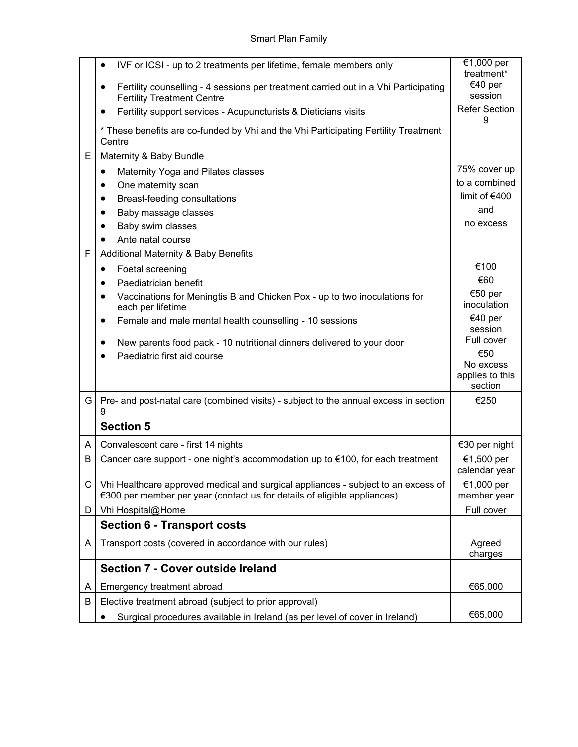|   | IVF or ICSI - up to 2 treatments per lifetime, female members only<br>$\bullet$<br>Fertility counselling - 4 sessions per treatment carried out in a Vhi Participating<br>$\bullet$<br><b>Fertility Treatment Centre</b> | €1,000 per<br>treatment*<br>€40 per<br>session |
|---|--------------------------------------------------------------------------------------------------------------------------------------------------------------------------------------------------------------------------|------------------------------------------------|
|   | Fertility support services - Acupuncturists & Dieticians visits<br>٠                                                                                                                                                     | <b>Refer Section</b><br>9                      |
|   | * These benefits are co-funded by Vhi and the Vhi Participating Fertility Treatment<br>Centre                                                                                                                            |                                                |
| E | Maternity & Baby Bundle                                                                                                                                                                                                  |                                                |
|   | Maternity Yoga and Pilates classes<br>٠                                                                                                                                                                                  | 75% cover up                                   |
|   | One maternity scan<br>٠                                                                                                                                                                                                  | to a combined                                  |
|   | Breast-feeding consultations<br>$\bullet$                                                                                                                                                                                | limit of $€400$                                |
|   | Baby massage classes<br>$\bullet$                                                                                                                                                                                        | and                                            |
|   | Baby swim classes                                                                                                                                                                                                        | no excess                                      |
| F | Ante natal course<br>Additional Maternity & Baby Benefits                                                                                                                                                                |                                                |
|   | Foetal screening<br>٠                                                                                                                                                                                                    | €100                                           |
|   | Paediatrician benefit<br>$\bullet$                                                                                                                                                                                       | €60                                            |
|   | Vaccinations for Meningtis B and Chicken Pox - up to two inoculations for<br>$\bullet$                                                                                                                                   | €50 per                                        |
|   | each per lifetime                                                                                                                                                                                                        | inoculation                                    |
|   | Female and male mental health counselling - 10 sessions<br>$\bullet$                                                                                                                                                     | €40 per<br>session                             |
|   | New parents food pack - 10 nutritional dinners delivered to your door<br>$\bullet$                                                                                                                                       | Full cover                                     |
|   | Paediatric first aid course                                                                                                                                                                                              | €50                                            |
|   |                                                                                                                                                                                                                          | No excess<br>applies to this                   |
|   |                                                                                                                                                                                                                          | section                                        |
| G | Pre- and post-natal care (combined visits) - subject to the annual excess in section<br>9                                                                                                                                | €250                                           |
|   | <b>Section 5</b>                                                                                                                                                                                                         |                                                |
| A | Convalescent care - first 14 nights                                                                                                                                                                                      | €30 per night                                  |
| B | Cancer care support - one night's accommodation up to €100, for each treatment                                                                                                                                           | €1,500 per<br>calendar year                    |
| C | Vhi Healthcare approved medical and surgical appliances - subject to an excess of<br>€300 per member per year (contact us for details of eligible appliances)                                                            | €1,000 per<br>member year                      |
| D | Vhi Hospital@Home                                                                                                                                                                                                        | Full cover                                     |
|   | <b>Section 6 - Transport costs</b>                                                                                                                                                                                       |                                                |
| A | Transport costs (covered in accordance with our rules)                                                                                                                                                                   | Agreed<br>charges                              |
|   | Section 7 - Cover outside Ireland                                                                                                                                                                                        |                                                |
| A | Emergency treatment abroad                                                                                                                                                                                               | €65,000                                        |
| В | Elective treatment abroad (subject to prior approval)                                                                                                                                                                    |                                                |
|   | Surgical procedures available in Ireland (as per level of cover in Ireland)                                                                                                                                              | €65,000                                        |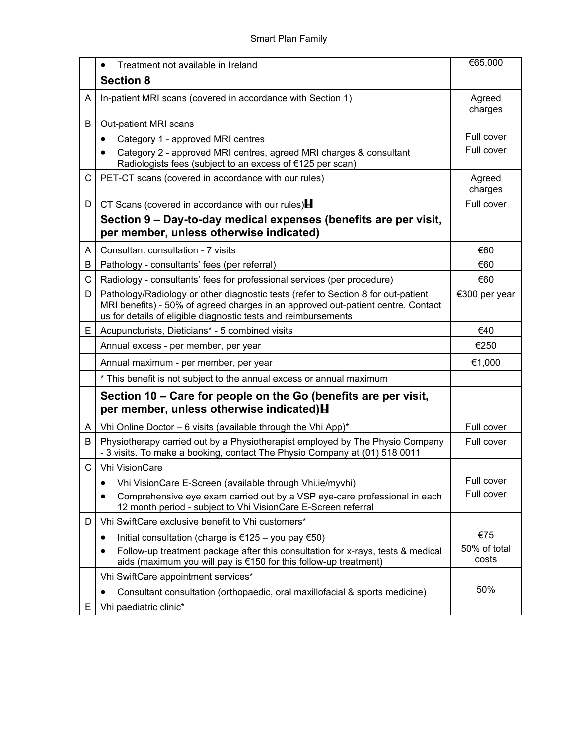|    | Treatment not available in Ireland<br>$\bullet$                                                                                                                                                                                         | €65,000               |
|----|-----------------------------------------------------------------------------------------------------------------------------------------------------------------------------------------------------------------------------------------|-----------------------|
|    | <b>Section 8</b>                                                                                                                                                                                                                        |                       |
| A  | In-patient MRI scans (covered in accordance with Section 1)                                                                                                                                                                             | Agreed<br>charges     |
| B  | Out-patient MRI scans                                                                                                                                                                                                                   |                       |
|    | Category 1 - approved MRI centres<br>$\bullet$                                                                                                                                                                                          | Full cover            |
|    | Category 2 - approved MRI centres, agreed MRI charges & consultant<br>Radiologists fees (subject to an excess of €125 per scan)                                                                                                         | Full cover            |
| C. | PET-CT scans (covered in accordance with our rules)                                                                                                                                                                                     | Agreed<br>charges     |
| D. | CT Scans (covered in accordance with our rules) $\blacksquare$                                                                                                                                                                          | Full cover            |
|    | Section 9 – Day-to-day medical expenses (benefits are per visit,<br>per member, unless otherwise indicated)                                                                                                                             |                       |
| A  | Consultant consultation - 7 visits                                                                                                                                                                                                      | €60                   |
| В  | Pathology - consultants' fees (per referral)                                                                                                                                                                                            | €60                   |
| C. | Radiology - consultants' fees for professional services (per procedure)                                                                                                                                                                 | €60                   |
| D  | Pathology/Radiology or other diagnostic tests (refer to Section 8 for out-patient<br>MRI benefits) - 50% of agreed charges in an approved out-patient centre. Contact<br>us for details of eligible diagnostic tests and reimbursements | €300 per year         |
| E. | Acupuncturists, Dieticians* - 5 combined visits                                                                                                                                                                                         | €40                   |
|    | Annual excess - per member, per year                                                                                                                                                                                                    | €250                  |
|    | Annual maximum - per member, per year                                                                                                                                                                                                   | €1,000                |
|    | * This benefit is not subject to the annual excess or annual maximum                                                                                                                                                                    |                       |
|    | Section 10 – Care for people on the Go (benefits are per visit,<br>per member, unless otherwise indicated) H                                                                                                                            |                       |
| A  | Vhi Online Doctor - 6 visits (available through the Vhi App)*                                                                                                                                                                           | Full cover            |
| B  | Physiotherapy carried out by a Physiotherapist employed by The Physio Company<br>- 3 visits. To make a booking, contact The Physio Company at (01) 518 0011                                                                             | Full cover            |
| C  | <b>Vhi VisionCare</b>                                                                                                                                                                                                                   |                       |
|    | Vhi VisionCare E-Screen (available through Vhi.ie/myvhi)                                                                                                                                                                                | Full cover            |
|    | Comprehensive eye exam carried out by a VSP eye-care professional in each<br>$\bullet$<br>12 month period - subject to Vhi VisionCare E-Screen referral                                                                                 | Full cover            |
| D  | Vhi SwiftCare exclusive benefit to Vhi customers*                                                                                                                                                                                       |                       |
|    | Initial consultation (charge is €125 – you pay €50)<br>٠                                                                                                                                                                                | €75                   |
|    | Follow-up treatment package after this consultation for x-rays, tests & medical<br>aids (maximum you will pay is €150 for this follow-up treatment)                                                                                     | 50% of total<br>costs |
|    | Vhi SwiftCare appointment services*                                                                                                                                                                                                     |                       |
|    | Consultant consultation (orthopaedic, oral maxillofacial & sports medicine)                                                                                                                                                             | 50%                   |
| E. | Vhi paediatric clinic*                                                                                                                                                                                                                  |                       |